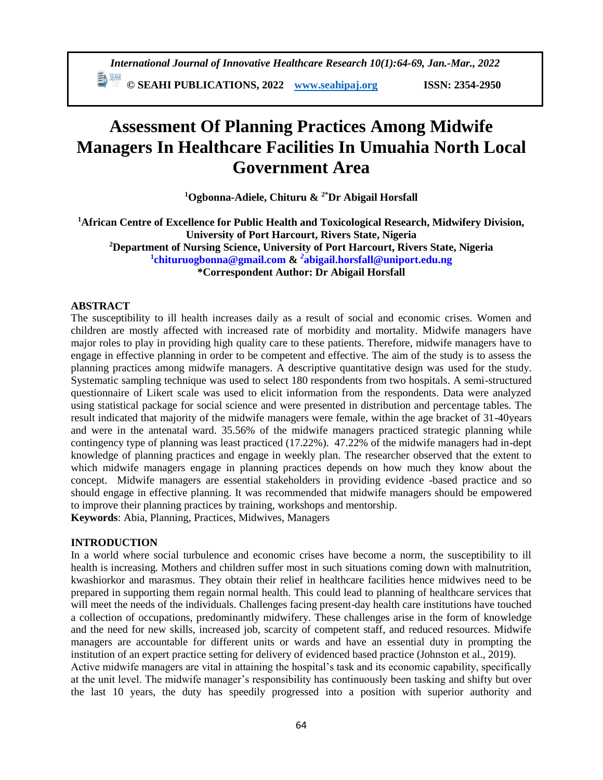# **Assessment Of Planning Practices Among Midwife Managers In Healthcare Facilities In Umuahia North Local Government Area**

**<sup>1</sup>Ogbonna-Adiele, Chituru & 2\*Dr Abigail Horsfall**

**<sup>1</sup>African Centre of Excellence for Public Health and Toxicological Research, Midwifery Division, University of Port Harcourt, Rivers State, Nigeria <sup>2</sup>Department of Nursing Science, University of Port Harcourt, Rivers State, Nigeria 1 [chituruogbonna@gmail.com](mailto:1chituruogbonna@gmail.com) &** *<sup>2</sup>* **[abigail.horsfall@uniport.edu.ng](mailto:2abigail.horsfall@uniport.edu.ng) \*Correspondent Author: Dr Abigail Horsfall**

# **ABSTRACT**

The susceptibility to ill health increases daily as a result of social and economic crises. Women and children are mostly affected with increased rate of morbidity and mortality. Midwife managers have major roles to play in providing high quality care to these patients. Therefore, midwife managers have to engage in effective planning in order to be competent and effective. The aim of the study is to assess the planning practices among midwife managers. A descriptive quantitative design was used for the study. Systematic sampling technique was used to select 180 respondents from two hospitals. A semi-structured questionnaire of Likert scale was used to elicit information from the respondents. Data were analyzed using statistical package for social science and were presented in distribution and percentage tables. The result indicated that majority of the midwife managers were female, within the age bracket of 31-40years and were in the antenatal ward. 35.56% of the midwife managers practiced strategic planning while contingency type of planning was least practiced (17.22%). 47.22% of the midwife managers had in-dept knowledge of planning practices and engage in weekly plan. The researcher observed that the extent to which midwife managers engage in planning practices depends on how much they know about the concept. Midwife managers are essential stakeholders in providing evidence -based practice and so should engage in effective planning. It was recommended that midwife managers should be empowered to improve their planning practices by training, workshops and mentorship. **Keywords**: Abia, Planning, Practices, Midwives, Managers

#### **INTRODUCTION**

In a world where social turbulence and economic crises have become a norm, the susceptibility to ill health is increasing. Mothers and children suffer most in such situations coming down with malnutrition, kwashiorkor and marasmus. They obtain their relief in healthcare facilities hence midwives need to be prepared in supporting them regain normal health. This could lead to planning of healthcare services that will meet the needs of the individuals. Challenges facing present-day health care institutions have touched a collection of occupations, predominantly midwifery. These challenges arise in the form of knowledge and the need for new skills, increased job, scarcity of competent staff, and reduced resources. Midwife managers are accountable for different units or wards and have an essential duty in prompting the institution of an expert practice setting for delivery of evidenced based practice (Johnston et al., 2019). Active midwife managers are vital in attaining the hospital's task and its economic capability, specifically at the unit level. The midwife manager's responsibility has continuously been tasking and shifty but over the last 10 years, the duty has speedily progressed into a position with superior authority and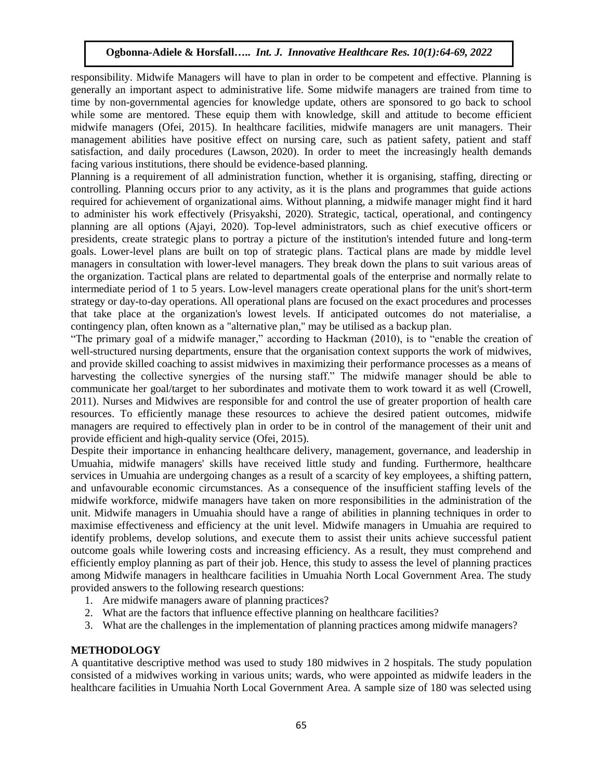responsibility. Midwife Managers will have to plan in order to be competent and effective. Planning is generally an important aspect to administrative life. Some midwife managers are trained from time to time by non-governmental agencies for knowledge update, others are sponsored to go back to school while some are mentored. These equip them with knowledge, skill and attitude to become efficient midwife managers (Ofei, 2015). In healthcare facilities, midwife managers are unit managers. Their management abilities have positive effect on nursing care, such as patient safety, patient and staff satisfaction, and daily procedures (Lawson, 2020). In order to meet the increasingly health demands facing various institutions, there should be evidence-based planning.

Planning is a requirement of all administration function, whether it is organising, staffing, directing or controlling. Planning occurs prior to any activity, as it is the plans and programmes that guide actions required for achievement of organizational aims. Without planning, a midwife manager might find it hard to administer his work effectively (Prisyakshi, 2020). Strategic, tactical, operational, and contingency planning are all options (Ajayi, 2020). Top-level administrators, such as chief executive officers or presidents, create strategic plans to portray a picture of the institution's intended future and long-term goals. Lower-level plans are built on top of strategic plans. Tactical plans are made by middle level managers in consultation with lower-level managers. They break down the plans to suit various areas of the organization. Tactical plans are related to departmental goals of the enterprise and normally relate to intermediate period of 1 to 5 years. Low-level managers create operational plans for the unit's short-term strategy or day-to-day operations. All operational plans are focused on the exact procedures and processes that take place at the organization's lowest levels. If anticipated outcomes do not materialise, a contingency plan, often known as a "alternative plan," may be utilised as a backup plan.

"The primary goal of a midwife manager," according to Hackman (2010), is to "enable the creation of well-structured nursing departments, ensure that the organisation context supports the work of midwives, and provide skilled coaching to assist midwives in maximizing their performance processes as a means of harvesting the collective synergies of the nursing staff." The midwife manager should be able to communicate her goal/target to her subordinates and motivate them to work toward it as well (Crowell, 2011). Nurses and Midwives are responsible for and control the use of greater proportion of health care resources. To efficiently manage these resources to achieve the desired patient outcomes, midwife managers are required to effectively plan in order to be in control of the management of their unit and provide efficient and high-quality service (Ofei, 2015).

Despite their importance in enhancing healthcare delivery, management, governance, and leadership in Umuahia, midwife managers' skills have received little study and funding. Furthermore, healthcare services in Umuahia are undergoing changes as a result of a scarcity of key employees, a shifting pattern, and unfavourable economic circumstances. As a consequence of the insufficient staffing levels of the midwife workforce, midwife managers have taken on more responsibilities in the administration of the unit. Midwife managers in Umuahia should have a range of abilities in planning techniques in order to maximise effectiveness and efficiency at the unit level. Midwife managers in Umuahia are required to identify problems, develop solutions, and execute them to assist their units achieve successful patient outcome goals while lowering costs and increasing efficiency. As a result, they must comprehend and efficiently employ planning as part of their job. Hence, this study to assess the level of planning practices among Midwife managers in healthcare facilities in Umuahia North Local Government Area. The study provided answers to the following research questions:

- 1. Are midwife managers aware of planning practices?
- 2. What are the factors that influence effective planning on healthcare facilities?
- 3. What are the challenges in the implementation of planning practices among midwife managers?

# **METHODOLOGY**

A quantitative descriptive method was used to study 180 midwives in 2 hospitals. The study population consisted of a midwives working in various units; wards, who were appointed as midwife leaders in the healthcare facilities in Umuahia North Local Government Area. A sample size of 180 was selected using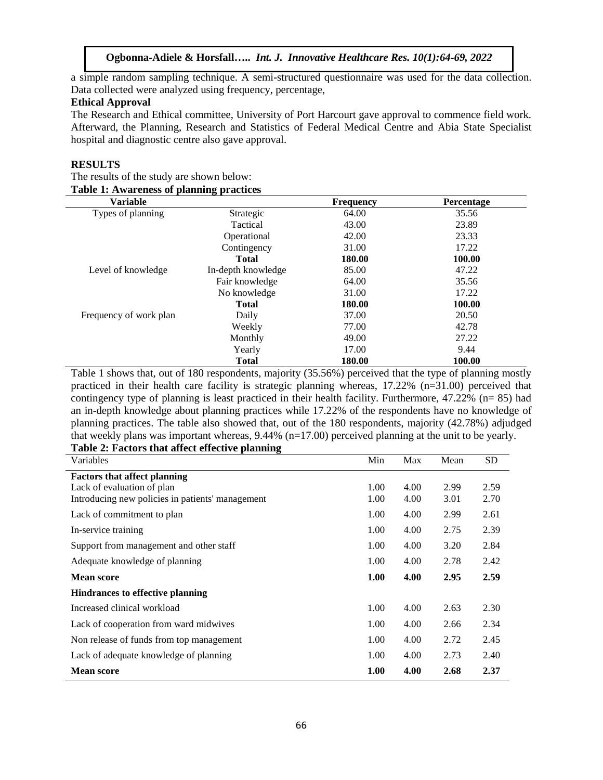a simple random sampling technique. A semi-structured questionnaire was used for the data collection. Data collected were analyzed using frequency, percentage,

#### **Ethical Approval**

The Research and Ethical committee, University of Port Harcourt gave approval to commence field work. Afterward, the Planning, Research and Statistics of Federal Medical Centre and Abia State Specialist hospital and diagnostic centre also gave approval.

#### **RESULTS**

| The results of the study are shown below:       |  |
|-------------------------------------------------|--|
| <b>Table 1: Awareness of planning practices</b> |  |

| <b>Variable</b>        |                    | <b>Frequency</b> | Percentage |
|------------------------|--------------------|------------------|------------|
| Types of planning      | Strategic          | 64.00            | 35.56      |
|                        | Tactical           | 43.00            | 23.89      |
|                        | Operational        | 42.00            | 23.33      |
|                        | Contingency        | 31.00            | 17.22      |
|                        | <b>Total</b>       | 180.00           | 100.00     |
| Level of knowledge     | In-depth knowledge | 85.00            | 47.22      |
|                        | Fair knowledge     | 64.00            | 35.56      |
|                        | No knowledge       | 31.00            | 17.22      |
|                        | <b>Total</b>       | 180.00           | 100.00     |
| Frequency of work plan | Daily              | 37.00            | 20.50      |
|                        | Weekly             | 77.00            | 42.78      |
|                        | Monthly            | 49.00            | 27.22      |
|                        | Yearly             | 17.00            | 9.44       |
|                        | <b>Total</b>       | 180.00           | 100.00     |

Table 1 shows that, out of 180 respondents, majority (35.56%) perceived that the type of planning mostly practiced in their health care facility is strategic planning whereas, 17.22% (n=31.00) perceived that contingency type of planning is least practiced in their health facility. Furthermore, 47.22% (n= 85) had an in-depth knowledge about planning practices while 17.22% of the respondents have no knowledge of planning practices. The table also showed that, out of the 180 respondents, majority (42.78%) adjudged that weekly plans was important whereas, 9.44% (n=17.00) perceived planning at the unit to be yearly. **Table 2: Factors that affect effective planning**

| Variables                                        | Min  | Max  | Mean | SD   |
|--------------------------------------------------|------|------|------|------|
| <b>Factors that affect planning</b>              |      |      |      |      |
| Lack of evaluation of plan                       | 1.00 | 4.00 | 2.99 | 2.59 |
| Introducing new policies in patients' management | 1.00 | 4.00 | 3.01 | 2.70 |
| Lack of commitment to plan                       | 1.00 | 4.00 | 2.99 | 2.61 |
| In-service training                              | 1.00 | 4.00 | 2.75 | 2.39 |
| Support from management and other staff          | 1.00 | 4.00 | 3.20 | 2.84 |
| Adequate knowledge of planning                   | 1.00 | 4.00 | 2.78 | 2.42 |
| <b>Mean score</b>                                | 1.00 | 4.00 | 2.95 | 2.59 |
| <b>Hindrances to effective planning</b>          |      |      |      |      |
| Increased clinical workload                      | 1.00 | 4.00 | 2.63 | 2.30 |
| Lack of cooperation from ward midwives           | 1.00 | 4.00 | 2.66 | 2.34 |
| Non release of funds from top management         | 1.00 | 4.00 | 2.72 | 2.45 |
| Lack of adequate knowledge of planning           | 1.00 | 4.00 | 2.73 | 2.40 |
| <b>Mean score</b>                                | 1.00 | 4.00 | 2.68 | 2.37 |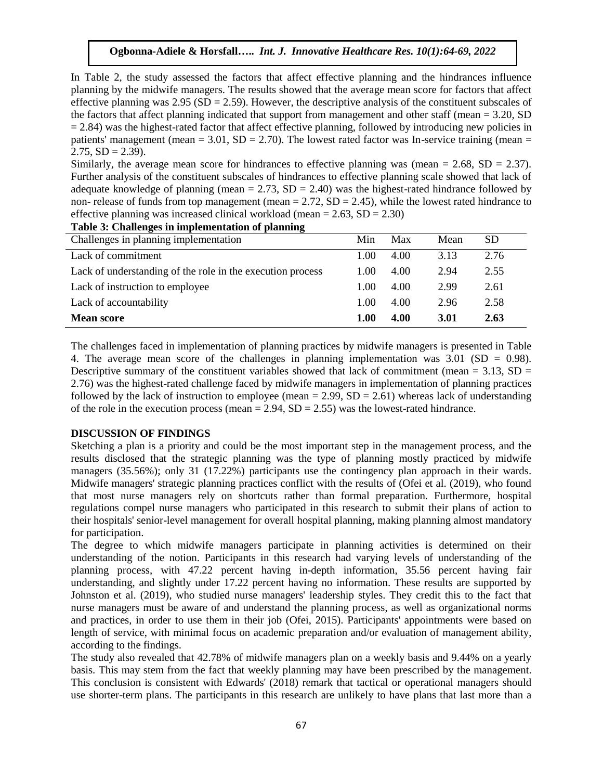In Table 2, the study assessed the factors that affect effective planning and the hindrances influence planning by the midwife managers. The results showed that the average mean score for factors that affect effective planning was  $2.95$  (SD = 2.59). However, the descriptive analysis of the constituent subscales of the factors that affect planning indicated that support from management and other staff (mean  $= 3.20$ , SD  $= 2.84$ ) was the highest-rated factor that affect effective planning, followed by introducing new policies in patients' management (mean  $= 3.01$ , SD  $= 2.70$ ). The lowest rated factor was In-service training (mean  $=$  $2.75$ ,  $SD = 2.39$ ).

Similarly, the average mean score for hindrances to effective planning was (mean  $= 2.68$ , SD  $= 2.37$ ). Further analysis of the constituent subscales of hindrances to effective planning scale showed that lack of adequate knowledge of planning (mean  $= 2.73$ , SD  $= 2.40$ ) was the highest-rated hindrance followed by non- release of funds from top management (mean  $= 2.72$ , SD  $= 2.45$ ), while the lowest rated hindrance to effective planning was increased clinical workload (mean  $= 2.63$ , SD  $= 2.30$ )

| Table 3: Challenges in implementation of planning          |             |      |      |           |  |  |  |  |
|------------------------------------------------------------|-------------|------|------|-----------|--|--|--|--|
| Challenges in planning implementation                      | Min         | Max  | Mean | <b>SD</b> |  |  |  |  |
| Lack of commitment                                         | 1.00        | 4.00 | 3.13 | 2.76      |  |  |  |  |
| Lack of understanding of the role in the execution process | 1.00        | 4.00 | 2.94 | 2.55      |  |  |  |  |
| Lack of instruction to employee                            | 1.00        | 4.00 | 2.99 | 2.61      |  |  |  |  |
| Lack of accountability                                     | 1.00        | 4.00 | 2.96 | 2.58      |  |  |  |  |
| <b>Mean score</b>                                          | <b>1.00</b> | 4.00 | 3.01 | 2.63      |  |  |  |  |

The challenges faced in implementation of planning practices by midwife managers is presented in Table 4. The average mean score of the challenges in planning implementation was  $3.01$  (SD = 0.98). Descriptive summary of the constituent variables showed that lack of commitment (mean  $= 3.13$ , SD  $=$ 2.76) was the highest-rated challenge faced by midwife managers in implementation of planning practices followed by the lack of instruction to employee (mean  $= 2.99$ , SD  $= 2.61$ ) whereas lack of understanding of the role in the execution process (mean  $= 2.94$ , SD  $= 2.55$ ) was the lowest-rated hindrance.

# **DISCUSSION OF FINDINGS**

Sketching a plan is a priority and could be the most important step in the management process, and the results disclosed that the strategic planning was the type of planning mostly practiced by midwife managers (35.56%); only 31 (17.22%) participants use the contingency plan approach in their wards. Midwife managers' strategic planning practices conflict with the results of (Ofei et al. (2019), who found that most nurse managers rely on shortcuts rather than formal preparation. Furthermore, hospital regulations compel nurse managers who participated in this research to submit their plans of action to their hospitals' senior-level management for overall hospital planning, making planning almost mandatory for participation.

The degree to which midwife managers participate in planning activities is determined on their understanding of the notion. Participants in this research had varying levels of understanding of the planning process, with 47.22 percent having in-depth information, 35.56 percent having fair understanding, and slightly under 17.22 percent having no information. These results are supported by Johnston et al. (2019), who studied nurse managers' leadership styles. They credit this to the fact that nurse managers must be aware of and understand the planning process, as well as organizational norms and practices, in order to use them in their job (Ofei, 2015). Participants' appointments were based on length of service, with minimal focus on academic preparation and/or evaluation of management ability, according to the findings.

The study also revealed that 42.78% of midwife managers plan on a weekly basis and 9.44% on a yearly basis. This may stem from the fact that weekly planning may have been prescribed by the management. This conclusion is consistent with Edwards' (2018) remark that tactical or operational managers should use shorter-term plans. The participants in this research are unlikely to have plans that last more than a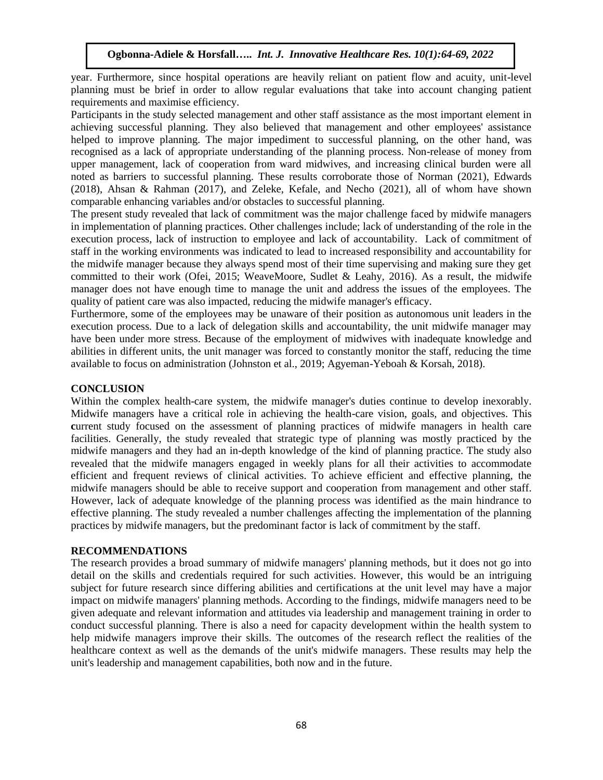year. Furthermore, since hospital operations are heavily reliant on patient flow and acuity, unit-level planning must be brief in order to allow regular evaluations that take into account changing patient requirements and maximise efficiency.

Participants in the study selected management and other staff assistance as the most important element in achieving successful planning. They also believed that management and other employees' assistance helped to improve planning. The major impediment to successful planning, on the other hand, was recognised as a lack of appropriate understanding of the planning process. Non-release of money from upper management, lack of cooperation from ward midwives, and increasing clinical burden were all noted as barriers to successful planning. These results corroborate those of Norman (2021), Edwards (2018), Ahsan & Rahman (2017), and Zeleke, Kefale, and Necho (2021), all of whom have shown comparable enhancing variables and/or obstacles to successful planning.

The present study revealed that lack of commitment was the major challenge faced by midwife managers in implementation of planning practices. Other challenges include; lack of understanding of the role in the execution process, lack of instruction to employee and lack of accountability. Lack of commitment of staff in the working environments was indicated to lead to increased responsibility and accountability for the midwife manager because they always spend most of their time supervising and making sure they get committed to their work (Ofei, 2015; WeaveMoore, Sudlet & Leahy, 2016). As a result, the midwife manager does not have enough time to manage the unit and address the issues of the employees. The quality of patient care was also impacted, reducing the midwife manager's efficacy.

Furthermore, some of the employees may be unaware of their position as autonomous unit leaders in the execution process. Due to a lack of delegation skills and accountability, the unit midwife manager may have been under more stress. Because of the employment of midwives with inadequate knowledge and abilities in different units, the unit manager was forced to constantly monitor the staff, reducing the time available to focus on administration (Johnston et al., 2019; Agyeman-Yeboah & Korsah, 2018).

#### **CONCLUSION**

Within the complex health-care system, the midwife manager's duties continue to develop inexorably. Midwife managers have a critical role in achieving the health-care vision, goals, and objectives. This current study focused on the assessment of planning practices of midwife managers in health care facilities. Generally, the study revealed that strategic type of planning was mostly practiced by the midwife managers and they had an in-depth knowledge of the kind of planning practice. The study also revealed that the midwife managers engaged in weekly plans for all their activities to accommodate efficient and frequent reviews of clinical activities. To achieve efficient and effective planning, the midwife managers should be able to receive support and cooperation from management and other staff. However, lack of adequate knowledge of the planning process was identified as the main hindrance to effective planning. The study revealed a number challenges affecting the implementation of the planning practices by midwife managers, but the predominant factor is lack of commitment by the staff.

# **RECOMMENDATIONS**

The research provides a broad summary of midwife managers' planning methods, but it does not go into detail on the skills and credentials required for such activities. However, this would be an intriguing subject for future research since differing abilities and certifications at the unit level may have a major impact on midwife managers' planning methods. According to the findings, midwife managers need to be given adequate and relevant information and attitudes via leadership and management training in order to conduct successful planning. There is also a need for capacity development within the health system to help midwife managers improve their skills. The outcomes of the research reflect the realities of the healthcare context as well as the demands of the unit's midwife managers. These results may help the unit's leadership and management capabilities, both now and in the future.